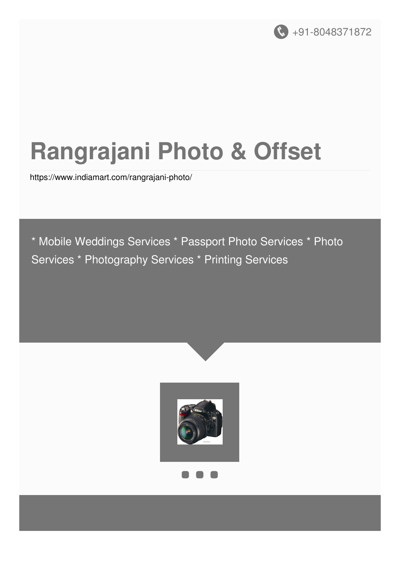

# **Rangrajani Photo & Offset**

<https://www.indiamart.com/rangrajani-photo/>

\* Mobile Weddings Services \* Passport Photo Services \* Photo Services \* Photography Services \* Printing Services



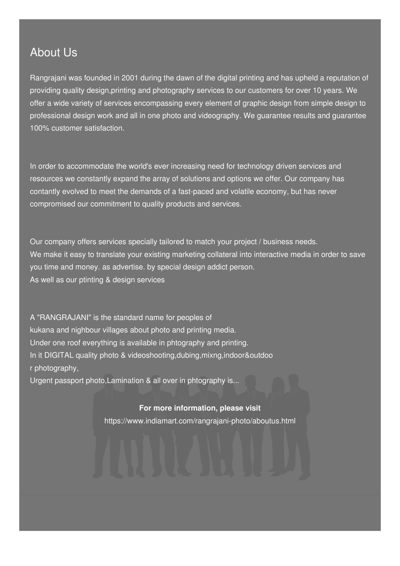### About Us

Rangrajani was founded in 2001 during the dawn of the digital printing and has upheld a reputation of providing quality design,printing and photography services to our customers for over 10 years. We offer a wide variety of services encompassing every element of graphic design from simple design to professional design work and all in one photo and videography. We guarantee results and guarantee 100% customer satisfaction.

In order to accommodate the world's ever increasing need for technology driven services and resources we constantly expand the array of solutions and options we offer. Our company has contantly evolved to meet the demands of a fast-paced and volatile economy, but has never compromised our commitment to quality products and services.

Our company offers services specially tailored to match your project / business needs. We make it easy to translate your existing marketing collateral into interactive media in order to save you time and money. as advertise. by special design addict person. As well as our ptinting & design services

A "RANGRAJANI" is the standard name for peoples of kukana and nighbour villages about photo and printing media. Under one roof everything is available in phtography and printing. In it DIGITAL quality photo & videoshooting,dubing,mixng,indoor&outdoo r photography,

Urgent passport photo,Lamination & all over in phtography is...

#### **For more information, please visit**

<https://www.indiamart.com/rangrajani-photo/aboutus.html>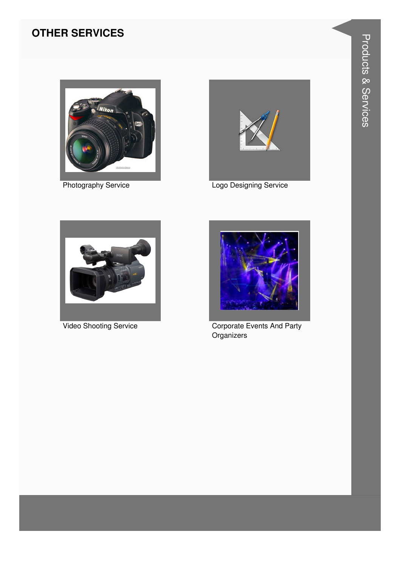#### **OTHER SERVICES**



**Photography Service** 



Logo Designing Service



Video Shooting Service



**Corporate Events And Party** Organizers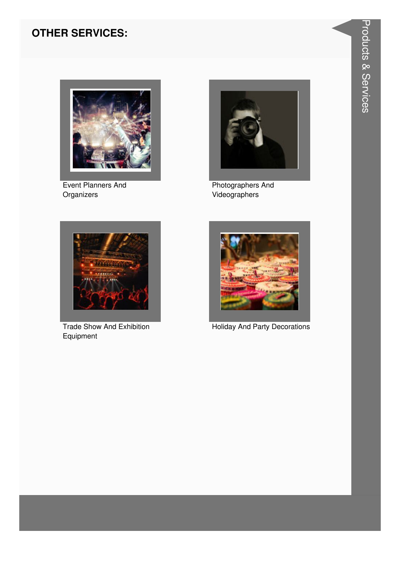#### **OTHER SERVICES:**



**Event Planners And** Organizers



**Photographers And** Videographers



**Trade Show And Exhibition** Equipment



**Holiday And Party Decorations**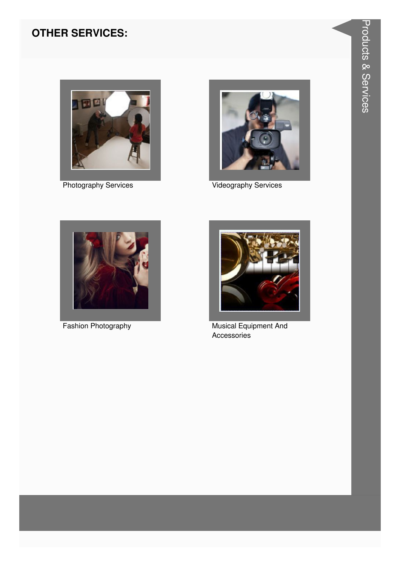#### **OTHER SERVICES:**



**Photography Services** 



**Videography Services** 



Fashion Photography



Musical Equipment And Accessories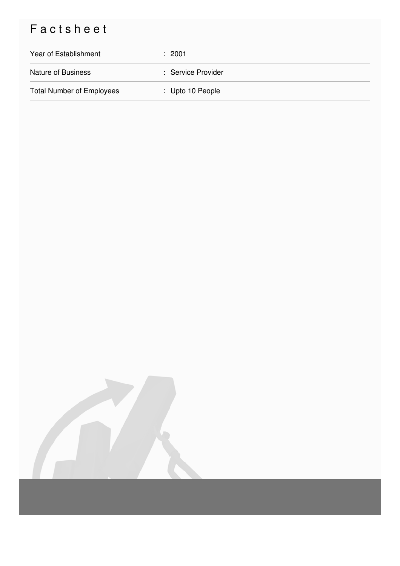## Factsheet

| Year of Establishment            | : 2001                      |
|----------------------------------|-----------------------------|
| <b>Nature of Business</b>        | : Service Provider          |
| <b>Total Number of Employees</b> | $\therefore$ Upto 10 People |